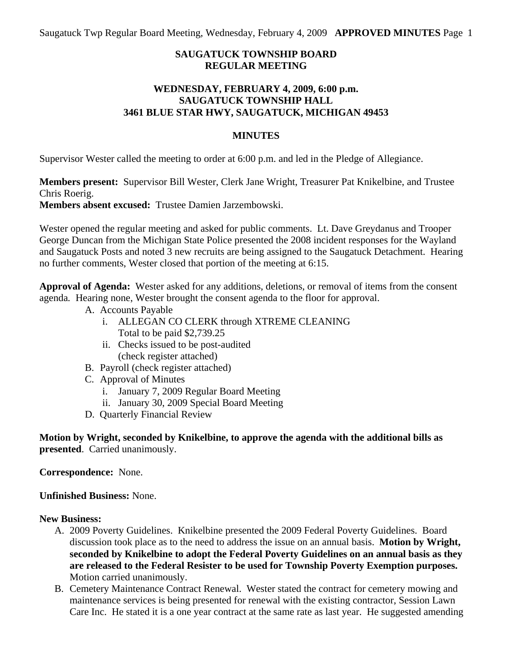Saugatuck Twp Regular Board Meeting, Wednesday, February 4, 2009 **APPROVED MINUTES** Page 1

### **SAUGATUCK TOWNSHIP BOARD REGULAR MEETING**

### **WEDNESDAY, FEBRUARY 4, 2009, 6:00 p.m. SAUGATUCK TOWNSHIP HALL 3461 BLUE STAR HWY, SAUGATUCK, MICHIGAN 49453**

### **MINUTES**

Supervisor Wester called the meeting to order at 6:00 p.m. and led in the Pledge of Allegiance.

**Members present:** Supervisor Bill Wester, Clerk Jane Wright, Treasurer Pat Knikelbine, and Trustee Chris Roerig.

**Members absent excused:** Trustee Damien Jarzembowski.

Wester opened the regular meeting and asked for public comments. Lt. Dave Greydanus and Trooper George Duncan from the Michigan State Police presented the 2008 incident responses for the Wayland and Saugatuck Posts and noted 3 new recruits are being assigned to the Saugatuck Detachment. Hearing no further comments, Wester closed that portion of the meeting at 6:15.

**Approval of Agenda:** Wester asked for any additions, deletions, or removal of items from the consent agenda*.* Hearing none, Wester brought the consent agenda to the floor for approval.

- A. Accounts Payable
	- i. ALLEGAN CO CLERK through XTREME CLEANING Total to be paid \$2,739.25
	- ii. Checks issued to be post-audited (check register attached)
- B. Payroll (check register attached)
- C. Approval of Minutes
	- i. January 7, 2009 Regular Board Meeting
	- ii. January 30, 2009 Special Board Meeting
- D. Quarterly Financial Review

**Motion by Wright, seconded by Knikelbine, to approve the agenda with the additional bills as presented**. Carried unanimously.

**Correspondence:** None.

**Unfinished Business:** None.

#### **New Business:**

- A. 2009 Poverty Guidelines. Knikelbine presented the 2009 Federal Poverty Guidelines. Board discussion took place as to the need to address the issue on an annual basis. **Motion by Wright, seconded by Knikelbine to adopt the Federal Poverty Guidelines on an annual basis as they are released to the Federal Resister to be used for Township Poverty Exemption purposes.**  Motion carried unanimously.
- B. Cemetery Maintenance Contract Renewal. Wester stated the contract for cemetery mowing and maintenance services is being presented for renewal with the existing contractor, Session Lawn Care Inc. He stated it is a one year contract at the same rate as last year. He suggested amending